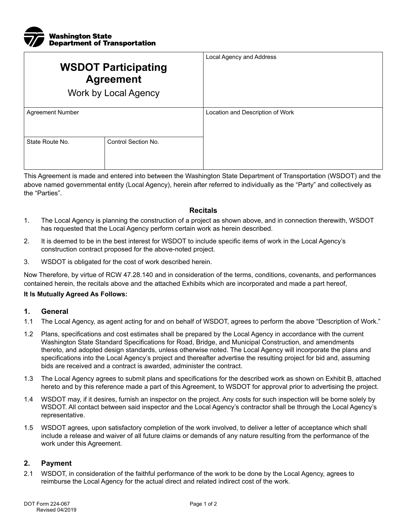

| <b>WSDOT Participating</b><br><b>Agreement</b><br><b>Work by Local Agency</b> |                     | Local Agency and Address         |
|-------------------------------------------------------------------------------|---------------------|----------------------------------|
| <b>Agreement Number</b>                                                       |                     | Location and Description of Work |
| State Route No.                                                               | Control Section No. |                                  |

This Agreement is made and entered into between the Washington State Department of Transportation (WSDOT) and the above named governmental entity (Local Agency), herein after referred to individually as the "Party" and collectively as the "Parties".

#### **Recitals**

- 1. The Local Agency is planning the construction of a project as shown above, and in connection therewith, WSDOT has requested that the Local Agency perform certain work as herein described.
- 2. It is deemed to be in the best interest for WSDOT to include specific items of work in the Local Agency's construction contract proposed for the above-noted project.
- 3. WSDOT is obligated for the cost of work described herein.

Now Therefore, by virtue of RCW 47.28.140 and in consideration of the terms, conditions, covenants, and performances contained herein, the recitals above and the attached Exhibits which are incorporated and made a part hereof,

#### **It Is Mutually Agreed As Follows:**

## **1. General**

- 1.1 The Local Agency, as agent acting for and on behalf of WSDOT, agrees to perform the above "Description of Work."
- 1.2 Plans, specifications and cost estimates shall be prepared by the Local Agency in accordance with the current Washington State Standard Specifications for Road, Bridge, and Municipal Construction, and amendments thereto, and adopted design standards, unless otherwise noted. The Local Agency will incorporate the plans and specifications into the Local Agency's project and thereafter advertise the resulting project for bid and, assuming bids are received and a contract is awarded, administer the contract.
- 1.3 The Local Agency agrees to submit plans and specifications for the described work as shown on Exhibit B, attached hereto and by this reference made a part of this Agreement, to WSDOT for approval prior to advertising the project.
- 1.4 WSDOT may, if it desires, furnish an inspector on the project. Any costs for such inspection will be borne solely by WSDOT. All contact between said inspector and the Local Agency's contractor shall be through the Local Agency's representative.
- 1.5 WSDOT agrees, upon satisfactory completion of the work involved, to deliver a letter of acceptance which shall include a release and waiver of all future claims or demands of any nature resulting from the performance of the work under this Agreement.

### **2. Payment**

2.1 WSDOT, in consideration of the faithful performance of the work to be done by the Local Agency, agrees to reimburse the Local Agency for the actual direct and related indirect cost of the work.